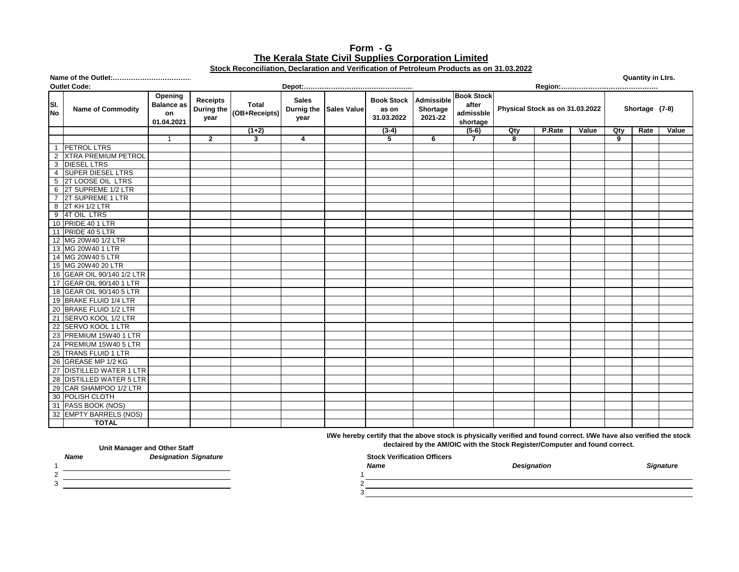## **Form - G Stock Reconciliation, Declaration and Verification of Petroleum Products as on 31.03.2022 The Kerala State Civil Supplies Corporation Limited**

|                  |                              |                                                  |                                       |                        |                      |                        |                                          |                                   |                                                     |     |                                 |       |     | <b>Quantity in Ltrs.</b> |       |
|------------------|------------------------------|--------------------------------------------------|---------------------------------------|------------------------|----------------------|------------------------|------------------------------------------|-----------------------------------|-----------------------------------------------------|-----|---------------------------------|-------|-----|--------------------------|-------|
|                  | <b>Outlet Code:</b>          |                                                  |                                       |                        |                      |                        |                                          |                                   |                                                     |     |                                 |       |     |                          |       |
| SI.<br><b>No</b> | <b>Name of Commodity</b>     | Opening<br><b>Balance as</b><br>on<br>01.04.2021 | <b>Receipts</b><br>During the<br>year | Total<br>(OB+Receipts) | <b>Sales</b><br>year | Durnig the Sales Value | <b>Book Stock</b><br>as on<br>31.03.2022 | Admissible<br>Shortage<br>2021-22 | <b>Book Stock</b><br>after<br>admissble<br>shortage |     | Physical Stock as on 31.03.2022 |       |     | Shortage (7-8)           |       |
|                  |                              |                                                  |                                       | $(1+2)$                |                      |                        | $(3-4)$                                  |                                   | $(5-6)$                                             | Qty | P.Rate                          | Value | Qty | Rate                     | Value |
|                  |                              | -1                                               | $\mathbf{2}$                          | 3                      | 4                    |                        | 5                                        | 6                                 | $\overline{7}$                                      | 8   |                                 |       | 9   |                          |       |
| $\overline{1}$   | <b>PETROL LTRS</b>           |                                                  |                                       |                        |                      |                        |                                          |                                   |                                                     |     |                                 |       |     |                          |       |
| $\overline{2}$   | <b>XTRA PREMIUM PETROL</b>   |                                                  |                                       |                        |                      |                        |                                          |                                   |                                                     |     |                                 |       |     |                          |       |
| 3                | <b>DIESEL LTRS</b>           |                                                  |                                       |                        |                      |                        |                                          |                                   |                                                     |     |                                 |       |     |                          |       |
| $\overline{4}$   | <b>SUPER DIESEL LTRS</b>     |                                                  |                                       |                        |                      |                        |                                          |                                   |                                                     |     |                                 |       |     |                          |       |
| 5                | 2T LOOSE OIL LTRS            |                                                  |                                       |                        |                      |                        |                                          |                                   |                                                     |     |                                 |       |     |                          |       |
| 6                | 2T SUPREME 1/2 LTR           |                                                  |                                       |                        |                      |                        |                                          |                                   |                                                     |     |                                 |       |     |                          |       |
| $\overline{7}$   | 2T SUPREME 1 LTR             |                                                  |                                       |                        |                      |                        |                                          |                                   |                                                     |     |                                 |       |     |                          |       |
| 8                | 2T KH 1/2 LTR                |                                                  |                                       |                        |                      |                        |                                          |                                   |                                                     |     |                                 |       |     |                          |       |
| 9                | 4T OIL LTRS                  |                                                  |                                       |                        |                      |                        |                                          |                                   |                                                     |     |                                 |       |     |                          |       |
|                  | 10 PRIDE 40 1 LTR            |                                                  |                                       |                        |                      |                        |                                          |                                   |                                                     |     |                                 |       |     |                          |       |
|                  | 11 PRIDE 40 5 LTR            |                                                  |                                       |                        |                      |                        |                                          |                                   |                                                     |     |                                 |       |     |                          |       |
| 12               | MG 20W40 1/2 LTR             |                                                  |                                       |                        |                      |                        |                                          |                                   |                                                     |     |                                 |       |     |                          |       |
|                  | 13 MG 20W40 1 LTR            |                                                  |                                       |                        |                      |                        |                                          |                                   |                                                     |     |                                 |       |     |                          |       |
|                  | 14 MG 20W40 5 LTR            |                                                  |                                       |                        |                      |                        |                                          |                                   |                                                     |     |                                 |       |     |                          |       |
|                  | 15 MG 20W40 20 LTR           |                                                  |                                       |                        |                      |                        |                                          |                                   |                                                     |     |                                 |       |     |                          |       |
| 16               | GEAR OIL 90/140 1/2 LTR      |                                                  |                                       |                        |                      |                        |                                          |                                   |                                                     |     |                                 |       |     |                          |       |
|                  | 17 GEAR OIL 90/140 1 LTR     |                                                  |                                       |                        |                      |                        |                                          |                                   |                                                     |     |                                 |       |     |                          |       |
| 18               | GEAR OIL 90/140 5 LTR        |                                                  |                                       |                        |                      |                        |                                          |                                   |                                                     |     |                                 |       |     |                          |       |
|                  | 19 BRAKE FLUID 1/4 LTR       |                                                  |                                       |                        |                      |                        |                                          |                                   |                                                     |     |                                 |       |     |                          |       |
|                  | 20 BRAKE FLUID 1/2 LTR       |                                                  |                                       |                        |                      |                        |                                          |                                   |                                                     |     |                                 |       |     |                          |       |
| 21               | SERVO KOOL 1/2 LTR           |                                                  |                                       |                        |                      |                        |                                          |                                   |                                                     |     |                                 |       |     |                          |       |
| 22               | SERVO KOOL 1 LTR             |                                                  |                                       |                        |                      |                        |                                          |                                   |                                                     |     |                                 |       |     |                          |       |
| 23               | PREMIUM 15W40 1 LTR          |                                                  |                                       |                        |                      |                        |                                          |                                   |                                                     |     |                                 |       |     |                          |       |
| 24               | PREMIUM 15W40 5 LTR          |                                                  |                                       |                        |                      |                        |                                          |                                   |                                                     |     |                                 |       |     |                          |       |
| $\overline{25}$  | <b>TRANS FLUID 1 LTR</b>     |                                                  |                                       |                        |                      |                        |                                          |                                   |                                                     |     |                                 |       |     |                          |       |
| 26               | GREASE MP 1/2 KG             |                                                  |                                       |                        |                      |                        |                                          |                                   |                                                     |     |                                 |       |     |                          |       |
| 27               | <b>DISTILLED WATER 1 LTR</b> |                                                  |                                       |                        |                      |                        |                                          |                                   |                                                     |     |                                 |       |     |                          |       |
| $\overline{28}$  | <b>DISTILLED WATER 5 LTR</b> |                                                  |                                       |                        |                      |                        |                                          |                                   |                                                     |     |                                 |       |     |                          |       |
| 29               | CAR SHAMPOO 1/2 LTR          |                                                  |                                       |                        |                      |                        |                                          |                                   |                                                     |     |                                 |       |     |                          |       |
| 30               | <b>POLISH CLOTH</b>          |                                                  |                                       |                        |                      |                        |                                          |                                   |                                                     |     |                                 |       |     |                          |       |
|                  | 31 PASS BOOK (NOS)           |                                                  |                                       |                        |                      |                        |                                          |                                   |                                                     |     |                                 |       |     |                          |       |
| 32               | <b>EMPTY BARRELS (NOS)</b>   |                                                  |                                       |                        |                      |                        |                                          |                                   |                                                     |     |                                 |       |     |                          |       |
|                  | <b>TOTAL</b>                 |                                                  |                                       |                        |                      |                        |                                          |                                   |                                                     |     |                                 |       |     |                          |       |

**I/We hereby certify that the above stock is physically verified and found correct. I/We have also verified the stock** 

**declaired by the AM/OIC with the Stock Register/Computer and found correct.**

| <b>Name</b> | . .<br><b>Designation Signature</b> | <b>Stock Verification Officers</b> |                    |                  |
|-------------|-------------------------------------|------------------------------------|--------------------|------------------|
|             |                                     | <b>Name</b>                        | <b>Designation</b> | <b>Signature</b> |
|             |                                     |                                    |                    |                  |
|             |                                     |                                    |                    |                  |
|             |                                     |                                    |                    |                  |
|             |                                     |                                    |                    |                  |

**Unit Manager and Other Staff** 

- $\frac{1}{2}$
-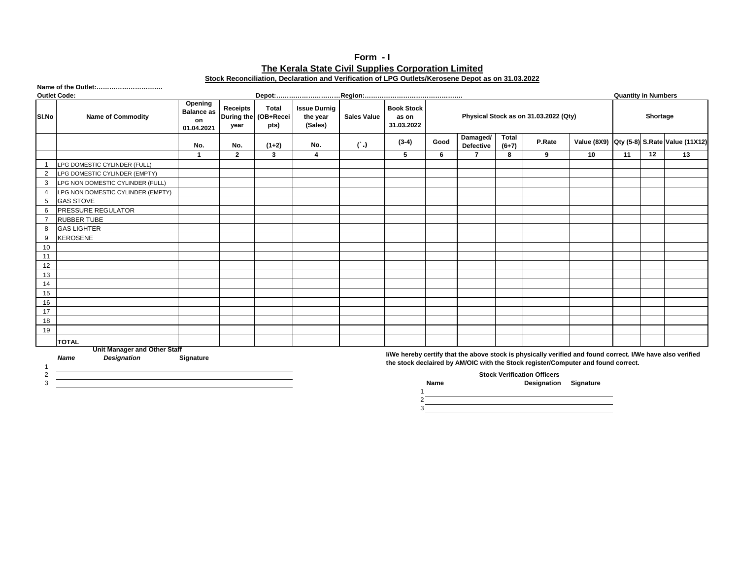## **Form - I Stock Reconciliation, Declaration and Verification of LPG Outlets/Kerosene Depot as on 31.03.2022 The Kerala State Civil Supplies Corporation Limited**

|                     | Name of the Outlet:               |                                                  |                  |                                              |                                            |                    |                                          |      |                       |                         |                                                                                                                                                                                                                      |    |                            |    |                                            |  |
|---------------------|-----------------------------------|--------------------------------------------------|------------------|----------------------------------------------|--------------------------------------------|--------------------|------------------------------------------|------|-----------------------|-------------------------|----------------------------------------------------------------------------------------------------------------------------------------------------------------------------------------------------------------------|----|----------------------------|----|--------------------------------------------|--|
| <b>Outlet Code:</b> |                                   |                                                  |                  |                                              |                                            |                    |                                          |      |                       |                         |                                                                                                                                                                                                                      |    | <b>Quantity in Numbers</b> |    |                                            |  |
| SI.No               | <b>Name of Commodity</b>          | Opening<br><b>Balance as</b><br>on<br>01.04.2021 | Receipts<br>year | <b>Total</b><br>During the (OB+Recei<br>pts) | <b>Issue Durnig</b><br>the year<br>(Sales) | <b>Sales Value</b> | <b>Book Stock</b><br>as on<br>31.03.2022 |      |                       |                         | Physical Stock as on 31.03.2022 (Qty)                                                                                                                                                                                |    | Shortage                   |    |                                            |  |
|                     |                                   | No.                                              | No.              | $(1+2)$                                      | No.                                        | $(\cdot)$          | $(3-4)$                                  | Good | Damaged/<br>Defective | <b>Total</b><br>$(6+7)$ | P.Rate                                                                                                                                                                                                               |    |                            |    | Value (8X9) Qty (5-8) S.Rate Value (11X12) |  |
|                     |                                   | $\overline{1}$                                   | $\overline{2}$   | 3                                            | $\overline{\mathbf{4}}$                    |                    | 5                                        | 6    | $\overline{7}$        | 8                       | 9                                                                                                                                                                                                                    | 10 | 11                         | 12 | 13                                         |  |
|                     | LPG DOMESTIC CYLINDER (FULL)      |                                                  |                  |                                              |                                            |                    |                                          |      |                       |                         |                                                                                                                                                                                                                      |    |                            |    |                                            |  |
| 2                   | LPG DOMESTIC CYLINDER (EMPTY)     |                                                  |                  |                                              |                                            |                    |                                          |      |                       |                         |                                                                                                                                                                                                                      |    |                            |    |                                            |  |
| 3                   | LPG NON DOMESTIC CYLINDER (FULL)  |                                                  |                  |                                              |                                            |                    |                                          |      |                       |                         |                                                                                                                                                                                                                      |    |                            |    |                                            |  |
| 4                   | LPG NON DOMESTIC CYLINDER (EMPTY) |                                                  |                  |                                              |                                            |                    |                                          |      |                       |                         |                                                                                                                                                                                                                      |    |                            |    |                                            |  |
| 5                   | <b>GAS STOVE</b>                  |                                                  |                  |                                              |                                            |                    |                                          |      |                       |                         |                                                                                                                                                                                                                      |    |                            |    |                                            |  |
| 6                   | PRESSURE REGULATOR                |                                                  |                  |                                              |                                            |                    |                                          |      |                       |                         |                                                                                                                                                                                                                      |    |                            |    |                                            |  |
|                     | <b>RUBBER TUBE</b>                |                                                  |                  |                                              |                                            |                    |                                          |      |                       |                         |                                                                                                                                                                                                                      |    |                            |    |                                            |  |
| 8                   | <b>GAS LIGHTER</b>                |                                                  |                  |                                              |                                            |                    |                                          |      |                       |                         |                                                                                                                                                                                                                      |    |                            |    |                                            |  |
| 9                   | <b>KEROSENE</b>                   |                                                  |                  |                                              |                                            |                    |                                          |      |                       |                         |                                                                                                                                                                                                                      |    |                            |    |                                            |  |
| 10                  |                                   |                                                  |                  |                                              |                                            |                    |                                          |      |                       |                         |                                                                                                                                                                                                                      |    |                            |    |                                            |  |
| 11                  |                                   |                                                  |                  |                                              |                                            |                    |                                          |      |                       |                         |                                                                                                                                                                                                                      |    |                            |    |                                            |  |
| 12                  |                                   |                                                  |                  |                                              |                                            |                    |                                          |      |                       |                         |                                                                                                                                                                                                                      |    |                            |    |                                            |  |
| 13                  |                                   |                                                  |                  |                                              |                                            |                    |                                          |      |                       |                         |                                                                                                                                                                                                                      |    |                            |    |                                            |  |
| 14                  |                                   |                                                  |                  |                                              |                                            |                    |                                          |      |                       |                         |                                                                                                                                                                                                                      |    |                            |    |                                            |  |
| 15                  |                                   |                                                  |                  |                                              |                                            |                    |                                          |      |                       |                         |                                                                                                                                                                                                                      |    |                            |    |                                            |  |
| 16                  |                                   |                                                  |                  |                                              |                                            |                    |                                          |      |                       |                         |                                                                                                                                                                                                                      |    |                            |    |                                            |  |
| 17                  |                                   |                                                  |                  |                                              |                                            |                    |                                          |      |                       |                         |                                                                                                                                                                                                                      |    |                            |    |                                            |  |
| 18                  |                                   |                                                  |                  |                                              |                                            |                    |                                          |      |                       |                         |                                                                                                                                                                                                                      |    |                            |    |                                            |  |
| 19                  |                                   |                                                  |                  |                                              |                                            |                    |                                          |      |                       |                         |                                                                                                                                                                                                                      |    |                            |    |                                            |  |
|                     | <b>TOTAL</b>                      |                                                  |                  |                                              |                                            |                    |                                          |      |                       |                         |                                                                                                                                                                                                                      |    |                            |    |                                            |  |
|                     | Unit Manager and Other Staff      |                                                  |                  |                                              |                                            |                    |                                          |      |                       |                         | $\mathbf{10.5} \pm \mathbf{1.5}$ and $\mathbf{1.5} \pm \mathbf{1.5}$ and $\mathbf{1.5} \pm \mathbf{1.5}$ and $\mathbf{1.5} \pm \mathbf{1.5}$ and $\mathbf{1.5} \pm \mathbf{1.5}$ and $\mathbf{1.5} \pm \mathbf{1.5}$ |    |                            |    |                                            |  |

1 2 3

*Name Designation* **Signature**

1

 $\frac{2}{3}$ 

**I/We hereby certify that the above stock is physically verified and found correct. I/We have also verified the stock declaired by AM/OIC with the Stock register/Computer and found correct.**

**Stock Verification Officers**

3 **Name Designation Signature**